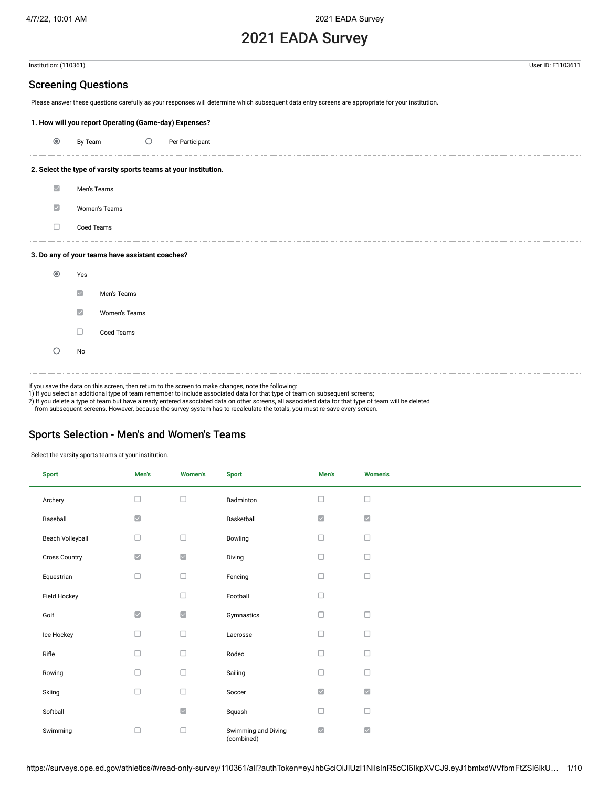# 2021 EADA Survey

Institution: (110361) User ID: E1103611

### Screening Questions

Please answer these questions carefully as your responses will determine which subsequent data entry screens are appropriate for your institution.

### **1. How will you report Operating (Game-day) Expenses?**

|  | By Team |  | Per Participant |
|--|---------|--|-----------------|
|--|---------|--|-----------------|

### **2. Select the type of varsity sports teams at your institution.**

| ☑                       | Men's Teams                                     |
|-------------------------|-------------------------------------------------|
| $\vert\mathcal{S}\vert$ | Women's Teams                                   |
|                         | Coed Teams                                      |
|                         | 3. Do any of your teams have assistant coaches? |
|                         | Voc                                             |

| $_{\odot}$ | Yes                       |               |
|------------|---------------------------|---------------|
|            | $\overline{\smile}$       | Men's Teams   |
|            | $\overline{\smash{\vee}}$ | Women's Teams |
|            |                           | Coed Teams    |
|            | No                        |               |
|            |                           |               |

If you save the data on this screen, then return to the screen to make changes, note the following: 1) If you select an additional type of team remember to include associated data for that type of team on subsequent screens;

2) If you delete a type of team but have already entered associated data on other screens, all associated data for that type of team will be deleted

from subsequent screens. However, because the survey system has to recalculate the totals, you must re-save every screen.

### Sports Selection - Men's and Women's Teams

Select the varsity sports teams at your institution.

| <b>Sport</b>         | Men's                | <b>Women's</b>       | <b>Sport</b>                      | Men's                   | <b>Women's</b>                                 |
|----------------------|----------------------|----------------------|-----------------------------------|-------------------------|------------------------------------------------|
| Archery              | □                    | $\Box$               | Badminton                         | $\Box$                  | $\Box$                                         |
| Baseball             | $\blacktriangledown$ |                      | Basketball                        | $\checkmark$            | $\overline{\phantom{a}}$                       |
| Beach Volleyball     | $\Box$               | $\Box$               | Bowling                           | $\Box$                  | $\Box$                                         |
| <b>Cross Country</b> | $\blacktriangledown$ | $\blacktriangledown$ | Diving                            | $\Box$                  | $\Box$                                         |
| Equestrian           | $\Box$               | $\Box$               | Fencing                           | $\Box$                  | $\Box$                                         |
| Field Hockey         |                      | $\Box$               | Football                          | $\Box$                  |                                                |
| Golf                 | $\blacktriangledown$ | $\blacktriangledown$ | Gymnastics                        | $\Box$                  | $\Box$                                         |
| Ice Hockey           | $\Box$               | $\Box$               | Lacrosse                          | $\Box$                  | $\Box$                                         |
| Rifle                | $\Box$               | $\Box$               | Rodeo                             | $\Box$                  | $\Box$                                         |
| Rowing               | $\Box$               | $\Box$               | Sailing                           | $\Box$                  | $\Box$                                         |
| Skiing               | $\Box$               | $\Box$               | Soccer                            | $\overline{\textbf{v}}$ | $\overline{\mathbf{v}}$                        |
| Softball             |                      | $\blacktriangledown$ | Squash                            | $\Box$                  | $\Box$                                         |
| Swimming             | $\Box$               | $\Box$               | Swimming and Diving<br>(combined) | $\checkmark$            | $\overline{\smash[b]{\mathbf{v}}\vphantom{a}}$ |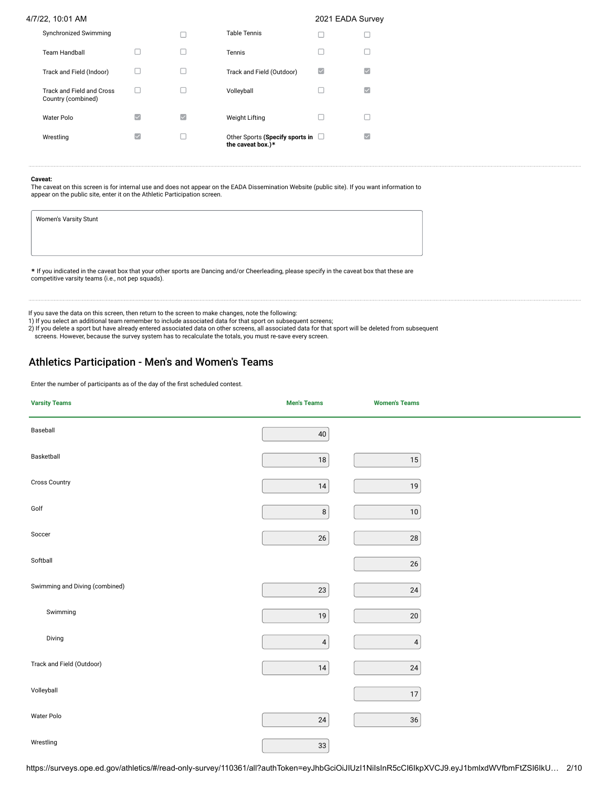| Synchronized Swimming                           |              |   | <b>Table Tennis</b>                                         |   |   |
|-------------------------------------------------|--------------|---|-------------------------------------------------------------|---|---|
| <b>Team Handball</b>                            |              |   | Tennis                                                      |   |   |
| Track and Field (Indoor)                        |              |   | Track and Field (Outdoor)                                   | ⊵ | M |
| Track and Field and Cross<br>Country (combined) |              |   | Volleyball                                                  |   | M |
| Water Polo                                      | $\checkmark$ | M | <b>Weight Lifting</b>                                       |   |   |
| Wrestling                                       | ▽            |   | Other Sports (Specify sports in $\Box$<br>the caveat box.)* |   |   |

### **Caveat:**

The caveat on this screen is for internal use and does not appear on the EADA Dissemination Website (public site). If you want information to appear on the public site, enter it on the Athletic Participation screen.

| Women's Varsity Stunt                                                                                                                                                                             |  |
|---------------------------------------------------------------------------------------------------------------------------------------------------------------------------------------------------|--|
|                                                                                                                                                                                                   |  |
|                                                                                                                                                                                                   |  |
| * If you indicated in the caveat box that your other sports are Dancing and/or Cheerleading, please specify in the caveat box that these are<br>competitive varsity teams (i.e., not pep squads). |  |

If you save the data on this screen, then return to the screen to make changes, note the following: 1) If you select an additional team remember to include associated data for that sport on subsequent screens;

2) If you delete a sport but have already entered associated data on other screens, all associated data for that sport will be deleted from subsequent

screens. However, because the survey system has to recalculate the totals, you must re-save every screen.

### Athletics Participation - Men's and Women's Teams

Enter the number of participants as of the day of the first scheduled contest.

| <b>Varsity Teams</b>           | <b>Men's Teams</b> | <b>Women's Teams</b> |  |
|--------------------------------|--------------------|----------------------|--|
| Baseball                       | $40\,$             |                      |  |
| Basketball                     | $18\,$             | $15\,$               |  |
| Cross Country                  | $14\,$             | $19\,$               |  |
| Golf                           | $\bf 8$            | $10\,$               |  |
| Soccer                         | $26\,$             | ${\bf 28}$           |  |
| Softball                       |                    | $26\,$               |  |
| Swimming and Diving (combined) | $23\,$             | $24\,$               |  |
| Swimming                       | $19$               | $20\,$               |  |
| Diving                         | $\overline{4}$     | $\overline{4}$       |  |
| Track and Field (Outdoor)      | $14\,$             | ${\bf 24}$           |  |
| Volleyball                     |                    | $17\,$               |  |
| Water Polo                     | $24\,$             | $36\,$               |  |
| Wrestling                      | 33                 |                      |  |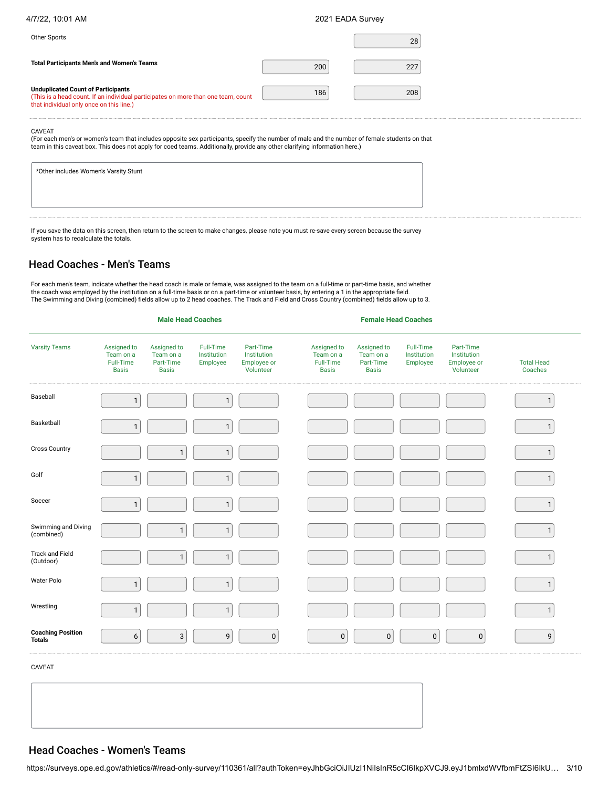| 4/7/22, 10:01 AM | 2021 EADA Survey |
|------------------|------------------|
|                  |                  |

| Other Sports                                                                                                                                                               |     | 28  |  |
|----------------------------------------------------------------------------------------------------------------------------------------------------------------------------|-----|-----|--|
| <b>Total Participants Men's and Women's Teams</b>                                                                                                                          | 200 | 227 |  |
| <b>Unduplicated Count of Participants</b><br>(This is a head count. If an individual participates on more than one team, count<br>that individual only once on this line.) | 186 | 208 |  |

CAVEAT

(For each men's or women's team that includes opposite sex participants, specify the number of male and the number of female students on that team in this caveat box. This does not apply for coed teams. Additionally, provide any other clarifying information here.)

| *Other includes Women's Varsity Stunt |  |  |  |
|---------------------------------------|--|--|--|
|                                       |  |  |  |
|                                       |  |  |  |
|                                       |  |  |  |

If you save the data on this screen, then return to the screen to make changes, please note you must re-save every screen because the survey system has to recalculate the totals.

## Head Coaches - Men's Teams

For each men's team, indicate whether the head coach is male or female, was assigned to the team on a full-time or part-time basis, and whether the coach was employed by the institution on a full-time basis or on a part-time or volunteer basis, by entering a 1 in the appropriate field.<br>The Swimming and Diving (combined) fields allow up to 2 head coaches. The Track

| <b>Varsity Teams</b>                      | Assigned to<br>Team on a<br>Full-Time<br><b>Basis</b> | Assigned to<br>Team on a<br>Part-Time<br><b>Basis</b> | Full-Time<br>Institution<br>Employee | Part-Time<br>Institution<br>Employee or<br>Volunteer | Assigned to<br>Team on a<br>Full-Time<br><b>Basis</b> | Assigned to<br>Team on a<br>Part-Time<br><b>Basis</b> | Full-Time<br>Institution<br>Employee | Part-Time<br>Institution<br>Employee or<br>Volunteer | <b>Total Head</b><br>Coaches |
|-------------------------------------------|-------------------------------------------------------|-------------------------------------------------------|--------------------------------------|------------------------------------------------------|-------------------------------------------------------|-------------------------------------------------------|--------------------------------------|------------------------------------------------------|------------------------------|
| Baseball                                  | $\mathbf{1}$                                          |                                                       | $\mathbf{1}$                         |                                                      |                                                       |                                                       |                                      |                                                      | $\mathbf{1}$                 |
| Basketball                                | $\mathbf{1}$                                          |                                                       | $\mathbf{1}$                         |                                                      |                                                       |                                                       |                                      |                                                      | $\mathbf{1}$                 |
| <b>Cross Country</b>                      |                                                       | $\mathbf{1}$                                          | $\mathbf{1}$                         |                                                      |                                                       |                                                       |                                      |                                                      | $\mathbf{1}$                 |
| Golf                                      | $\mathbf{1}$                                          |                                                       | $\mathbf{1}$                         |                                                      |                                                       |                                                       |                                      |                                                      | $\mathbf{1}$                 |
| Soccer                                    | $\mathbf{1}$                                          |                                                       | $\mathbf{1}$                         |                                                      |                                                       |                                                       |                                      |                                                      | $\mathbf{1}$                 |
| Swimming and Diving<br>(combined)         |                                                       | $\mathbf{1}$                                          | $\mathbf{1}$                         |                                                      |                                                       |                                                       |                                      |                                                      | $\mathbf{1}$                 |
| <b>Track and Field</b><br>(Outdoor)       |                                                       | $\mathbf{1}$                                          | $\mathbf{1}$                         |                                                      |                                                       |                                                       |                                      |                                                      | $\mathbf{1}$                 |
| Water Polo                                | $\mathbf{1}$                                          |                                                       | $\mathbf{1}$                         |                                                      |                                                       |                                                       |                                      |                                                      | $\mathbf{1}$                 |
| Wrestling                                 | $\mathbf{1}$                                          |                                                       | $\mathbf{1}$                         |                                                      |                                                       |                                                       |                                      |                                                      | $\mathbf{1}$                 |
| <b>Coaching Position</b><br><b>Totals</b> | 6                                                     | $\sqrt{3}$                                            | 9                                    | $\pmb{0}$                                            | $\pmb{0}$                                             | $\pmb{0}$                                             | $\pmb{0}$                            | $\pmb{0}$                                            | 9                            |

**Male Head Coaches Female Head Coaches**

CAVEAT

## Head Coaches - Women's Teams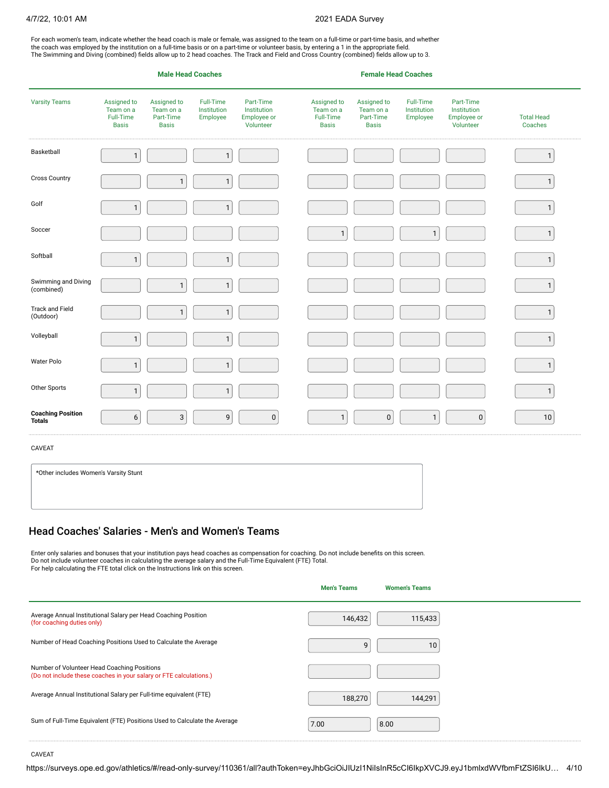For each women's team, indicate whether the head coach is male or female, was assigned to the team on a full-time or part-time basis, and whether the coach was employed by the institution on a full-time basis or on a part-time or volunteer basis, by entering a 1 in the appropriate field. The Swimming and Diving (combined) fields allow up to 2 head coaches. The Track and Field and Cross Country (combined) fields allow up to 3.

|                                           |                                                       | <b>Male Head Coaches</b>                              |                                      | <b>Female Head Coaches</b>                           |  |                                                       |                                                       |                                      |                                                      |                              |
|-------------------------------------------|-------------------------------------------------------|-------------------------------------------------------|--------------------------------------|------------------------------------------------------|--|-------------------------------------------------------|-------------------------------------------------------|--------------------------------------|------------------------------------------------------|------------------------------|
| <b>Varsity Teams</b>                      | Assigned to<br>Team on a<br>Full-Time<br><b>Basis</b> | Assigned to<br>Team on a<br>Part-Time<br><b>Basis</b> | Full-Time<br>Institution<br>Employee | Part-Time<br>Institution<br>Employee or<br>Volunteer |  | Assigned to<br>Team on a<br>Full-Time<br><b>Basis</b> | Assigned to<br>Team on a<br>Part-Time<br><b>Basis</b> | Full-Time<br>Institution<br>Employee | Part-Time<br>Institution<br>Employee or<br>Volunteer | <b>Total Head</b><br>Coaches |
| Basketball                                | $\mathbf{1}$                                          |                                                       | $\mathbf{1}$                         |                                                      |  |                                                       |                                                       |                                      |                                                      | $\mathbf{1}$                 |
| <b>Cross Country</b>                      |                                                       | $\mathbf{1}$                                          | $\mathbf{1}$                         |                                                      |  |                                                       |                                                       |                                      |                                                      | $\mathbf{1}$                 |
| Golf                                      | $\mathbf{1}$                                          |                                                       | $\mathbf{1}$                         |                                                      |  |                                                       |                                                       |                                      |                                                      | $\mathbf{1}$                 |
| Soccer                                    |                                                       |                                                       |                                      |                                                      |  | $\mathbf{1}$                                          |                                                       | $\mathbf{1}$                         |                                                      | $\mathbf{1}$                 |
| Softball                                  | $\mathbf{1}$                                          |                                                       | $\mathbf{1}$                         |                                                      |  |                                                       |                                                       |                                      |                                                      | 1                            |
| Swimming and Diving<br>(combined)         |                                                       | $\mathbf{1}$                                          | $\mathbf{1}$                         |                                                      |  |                                                       |                                                       |                                      |                                                      | 1                            |
| Track and Field<br>(Outdoor)              |                                                       | $\mathbf{1}$                                          | $\mathbf{1}$                         |                                                      |  |                                                       |                                                       |                                      |                                                      | $\mathbf{1}$                 |
| Volleyball                                | $\mathbf{1}$                                          |                                                       | $\mathbf{1}$                         |                                                      |  |                                                       |                                                       |                                      |                                                      | 1                            |
| Water Polo                                | $\mathbf{1}$                                          |                                                       | $\mathbf{1}$                         |                                                      |  |                                                       |                                                       |                                      |                                                      | $\mathbf{1}$                 |
| Other Sports                              | $\mathbf{1}$                                          |                                                       | $\mathbf{1}$                         |                                                      |  |                                                       |                                                       |                                      |                                                      | 1                            |
| <b>Coaching Position</b><br><b>Totals</b> | 6                                                     | $\sqrt{3}$                                            | 9                                    | $\pmb{0}$                                            |  | $\mathbf{1}$                                          | $\boldsymbol{0}$                                      | $\mathbf{1}$                         | $\pmb{0}$                                            | $10\,$                       |
| CAVEAT                                    |                                                       |                                                       |                                      |                                                      |  |                                                       |                                                       |                                      |                                                      |                              |

|  | Head Coaches' Salaries - Men's and Women's Teams |  |
|--|--------------------------------------------------|--|
|  |                                                  |  |

\*Other includes Women's Varsity Stunt

Enter only salaries and bonuses that your institution pays head coaches as compensation for coaching. Do not include benefits on this screen. Do not include volunteer coaches in calculating the average salary and the Full-Time Equivalent (FTE) Total. For help calculating the FTE total click on the Instructions link on this screen.

|                                                                                                                   | <b>Men's Teams</b> | <b>Women's Teams</b> |  |
|-------------------------------------------------------------------------------------------------------------------|--------------------|----------------------|--|
| Average Annual Institutional Salary per Head Coaching Position<br>(for coaching duties only)                      | 146,432            | 115,433              |  |
| Number of Head Coaching Positions Used to Calculate the Average                                                   | 9                  | 10                   |  |
| Number of Volunteer Head Coaching Positions<br>(Do not include these coaches in your salary or FTE calculations.) |                    |                      |  |
| Average Annual Institutional Salary per Full-time equivalent (FTE)                                                | 188,270            | 144,291              |  |
| Sum of Full-Time Equivalent (FTE) Positions Used to Calculate the Average                                         | 7.00               | 8.00                 |  |

CAVEAT

https://surveys.ope.ed.gov/athletics/#/read-only-survey/110361/all?authToken=eyJhbGciOiJIUzI1NiIsInR5cCI6IkpXVCJ9.eyJ1bmlxdWVfbmFtZSI6IkU… 4/10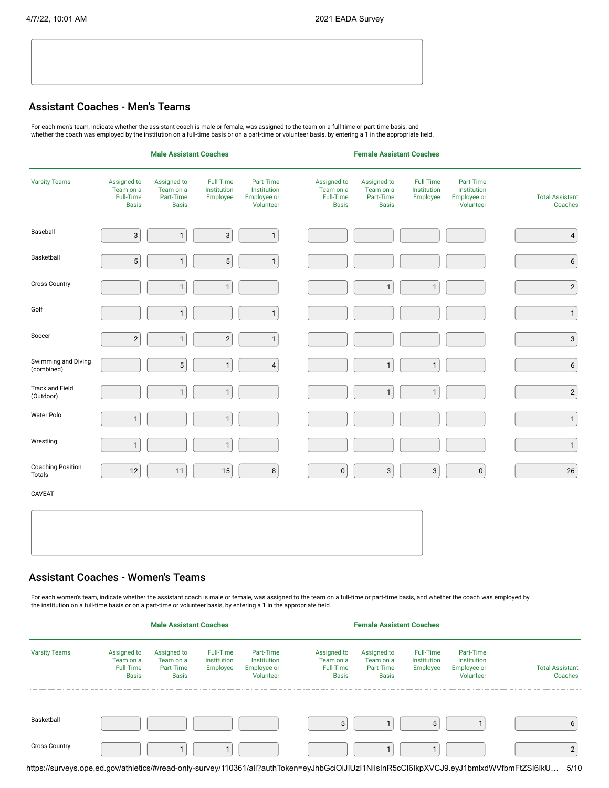### Assistant Coaches - Men's Teams

For each men's team, indicate whether the assistant coach is male or female, was assigned to the team on a full-time or part-time basis, and whether the coach was employed by the institution on a full-time basis or on a part-time or volunteer basis, by entering a 1 in the appropriate field.

|                                     |                                                       | <b>Male Assistant Coaches</b>                         |                                      |                                                      |                                                       | <b>Female Assistant Coaches</b>                       |                                      |                                                      |                                   |
|-------------------------------------|-------------------------------------------------------|-------------------------------------------------------|--------------------------------------|------------------------------------------------------|-------------------------------------------------------|-------------------------------------------------------|--------------------------------------|------------------------------------------------------|-----------------------------------|
| <b>Varsity Teams</b>                | Assigned to<br>Team on a<br>Full-Time<br><b>Basis</b> | Assigned to<br>Team on a<br>Part-Time<br><b>Basis</b> | Full-Time<br>Institution<br>Employee | Part-Time<br>Institution<br>Employee or<br>Volunteer | Assigned to<br>Team on a<br>Full-Time<br><b>Basis</b> | Assigned to<br>Team on a<br>Part-Time<br><b>Basis</b> | Full-Time<br>Institution<br>Employee | Part-Time<br>Institution<br>Employee or<br>Volunteer | <b>Total Assistant</b><br>Coaches |
| Baseball                            | $\ensuremath{\mathsf{3}}$                             | $\mathbf{1}$                                          | $\sqrt{3}$                           | $\mathbf{1}$                                         |                                                       |                                                       |                                      |                                                      | $\sqrt{4}$                        |
| Basketball                          | $\overline{5}$                                        | $\mathbf{1}$                                          | 5                                    | $\mathbf{1}$                                         |                                                       |                                                       |                                      |                                                      | $\boldsymbol{6}$                  |
| <b>Cross Country</b>                |                                                       | $\mathbf{1}$                                          | $\mathbf{1}$                         |                                                      |                                                       | $\mathbf{1}$                                          | $\mathbf{1}$                         |                                                      | $\sqrt{2}$                        |
| Golf                                |                                                       | $\mathbf{1}$                                          |                                      | $\mathbf{1}$                                         |                                                       |                                                       |                                      |                                                      | $\mathbf{1}$                      |
| Soccer                              | $\overline{2}$                                        | $\mathbf{1}$                                          | $\sqrt{2}$                           | $\mathbf{1}$                                         |                                                       |                                                       |                                      |                                                      | $\mathbf{3}$                      |
| Swimming and Diving<br>(combined)   |                                                       | $\mathbf 5$                                           | $\mathbf{1}$                         | $\pmb{4}$                                            |                                                       | $\mathbf{1}$                                          | $\mathbf{1}$                         |                                                      | $\boldsymbol{6}$                  |
| <b>Track and Field</b><br>(Outdoor) |                                                       | $\mathbf{1}$                                          | $\mathbf{1}$                         |                                                      |                                                       | $\mathbf{1}$                                          | $\mathbf{1}$                         |                                                      | $\sqrt{2}$                        |
| Water Polo                          | $\mathbf 1$                                           |                                                       | $\mathbf{1}$                         |                                                      |                                                       |                                                       |                                      |                                                      | $\mathbf{1}$                      |
| Wrestling                           | $\mathbf{1}$                                          |                                                       | $\mathbf{1}$                         |                                                      |                                                       |                                                       |                                      |                                                      | $\mathbf 1$                       |
| <b>Coaching Position</b><br>Totals  | 12                                                    | 11                                                    | $15\,$                               | $\bf 8$                                              | $\pmb{0}$                                             | $\sqrt{3}$                                            | $\sqrt{3}$                           | $\pmb{0}$                                            | $26\,$                            |
| CAVEAT                              |                                                       |                                                       |                                      |                                                      |                                                       |                                                       |                                      |                                                      |                                   |
|                                     |                                                       |                                                       |                                      |                                                      |                                                       |                                                       |                                      |                                                      |                                   |
|                                     |                                                       |                                                       |                                      |                                                      |                                                       |                                                       |                                      |                                                      |                                   |

## Assistant Coaches - Women's Teams

For each women's team, indicate whether the assistant coach is male or female, was assigned to the team on a full-time or part-time basis, and whether the coach was employed by<br>the institution on a full-time basis or on a

|                      |                                                              | <b>Male Assistant Coaches</b>                         |                                             |                                                      | <b>Female Assistant Coaches</b>                              |                                                       |                                      |                                                             |                                                                                                                                           |         |
|----------------------|--------------------------------------------------------------|-------------------------------------------------------|---------------------------------------------|------------------------------------------------------|--------------------------------------------------------------|-------------------------------------------------------|--------------------------------------|-------------------------------------------------------------|-------------------------------------------------------------------------------------------------------------------------------------------|---------|
| <b>Varsity Teams</b> | Assigned to<br>Team on a<br><b>Full-Time</b><br><b>Basis</b> | Assigned to<br>Team on a<br>Part-Time<br><b>Basis</b> | Full-Time<br><b>Institution</b><br>Employee | Part-Time<br>Institution<br>Employee or<br>Volunteer | Assigned to<br>Team on a<br><b>Full-Time</b><br><b>Basis</b> | Assigned to<br>Team on a<br>Part-Time<br><b>Basis</b> | Full-Time<br>Institution<br>Employee | Part-Time<br>Institution<br><b>Employee or</b><br>Volunteer | <b>Total Assistant</b>                                                                                                                    | Coaches |
| Basketball           |                                                              |                                                       |                                             |                                                      | 5                                                            |                                                       |                                      |                                                             |                                                                                                                                           | ь       |
| <b>Cross Country</b> |                                                              |                                                       |                                             |                                                      |                                                              |                                                       |                                      |                                                             |                                                                                                                                           |         |
|                      |                                                              |                                                       |                                             |                                                      |                                                              |                                                       |                                      |                                                             | https://surveys.ope.ed.gov/athletics/#/read-only-survey/110361/all?authToken=eyJhbGciOiJIUzl1NilsInR5cCl6lkpXVCJ9.eyJ1bmlxdWVfbmFtZSl6lkU | 5/10    |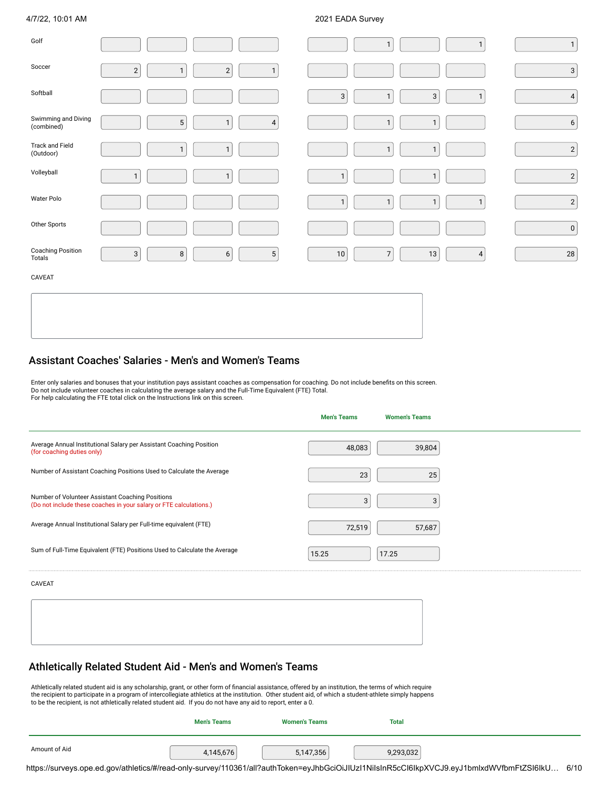| Golf                              |                                                                         | $\mathbf{1}$<br>$\mathbf{1}$                                 | $\mathbf{1}$     |
|-----------------------------------|-------------------------------------------------------------------------|--------------------------------------------------------------|------------------|
| Soccer                            | $\overline{\mathbf{c}}$<br>$\overline{\mathbf{c}}$<br>$\mathbf{1}$<br>1 |                                                              | $\sqrt{3}$       |
| Softball                          |                                                                         | $\sqrt{3}$<br>3<br>$\mathbf{1}$<br>$\mathbf{1}$              | $\sqrt{4}$       |
| Swimming and Diving<br>(combined) | 5 <sup>1</sup><br>$\mathbf{1}$<br>$\overline{4}$                        | $\mathbf{1}$<br>$\mathbf{1}$                                 | $\boldsymbol{6}$ |
| Track and Field<br>(Outdoor)      | $\mathbf{1}$<br>$\mathbf{1}$                                            | $\mathbf{1}$<br>$\mathbf{1}$                                 | $\sqrt{2}$       |
| Volleyball                        | $\mathbf{1}$<br>$\mathbf{1}$                                            | $\mathbf{1}$<br>$\mathbf{1}$                                 | $\sqrt{2}$       |
| Water Polo                        |                                                                         | $\mathbf{1}$<br>$\mathbf{1}$<br>$\mathbf{1}$<br>$\mathbf{1}$ | $\left  \right $ |
| Other Sports                      |                                                                         |                                                              | $\mathbf 0$      |
| Coaching Position<br>Totals       | $\sqrt{3}$<br>$6\,$<br>$5\phantom{.0}$<br>8                             | $\overline{7}$<br>$10\,$<br>13<br>$\overline{4}$             | ${\bf 28}$       |
| CAVEAT                            |                                                                         |                                                              |                  |

## Assistant Coaches' Salaries - Men's and Women's Teams

Enter only salaries and bonuses that your institution pays assistant coaches as compensation for coaching. Do not include benefits on this screen.<br>Do not include volunteer coaches in calculating the average salary and the

|                                                                                                                        | <b>Men's Teams</b> | <b>Women's Teams</b> |  |
|------------------------------------------------------------------------------------------------------------------------|--------------------|----------------------|--|
| Average Annual Institutional Salary per Assistant Coaching Position<br>(for coaching duties only)                      | 48,083             | 39,804               |  |
| Number of Assistant Coaching Positions Used to Calculate the Average                                                   | 23                 | 25                   |  |
| Number of Volunteer Assistant Coaching Positions<br>(Do not include these coaches in your salary or FTE calculations.) | 3                  |                      |  |
| Average Annual Institutional Salary per Full-time equivalent (FTE)                                                     | 72,519             | 57,687               |  |
| Sum of Full-Time Equivalent (FTE) Positions Used to Calculate the Average                                              | 15.25              | 17.25                |  |
| <b>CAVEAT</b>                                                                                                          |                    |                      |  |
|                                                                                                                        |                    |                      |  |

## Athletically Related Student Aid - Men's and Women's Teams

Athletically related student aid is any scholarship, grant, or other form of financial assistance, offered by an institution, the terms of which require<br>the recipient to participate in a program of intercollegiate athletic

|               | <b>Men's Teams</b> | <b>Women's Teams</b> | <b>Total</b> |  |
|---------------|--------------------|----------------------|--------------|--|
| Amount of Aid | 4.145.676          | 5,147,356            | 9,293,032    |  |

https://surveys.ope.ed.gov/athletics/#/read-only-survey/110361/all?authToken=eyJhbGciOiJIUzI1NiIsInR5cCI6IkpXVCJ9.eyJ1bmlxdWVfbmFtZSI6IkU… 6/10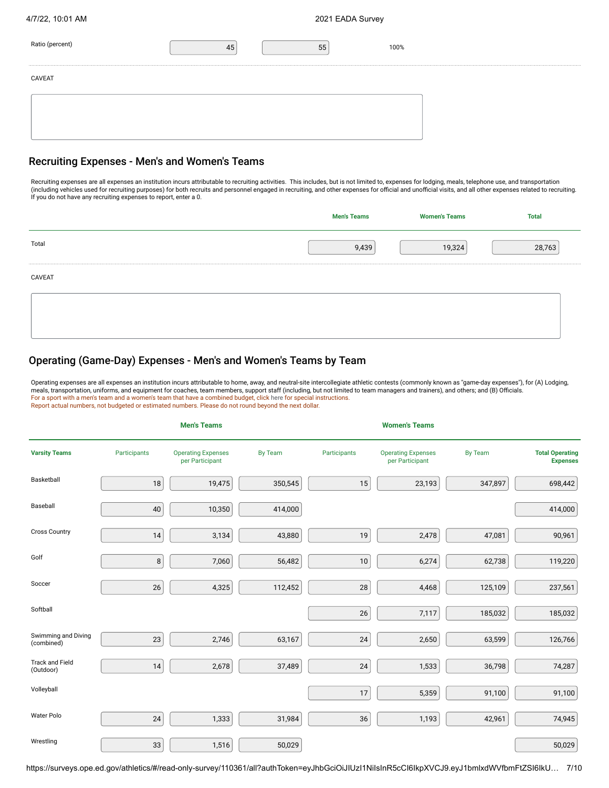| 4/7/22, 10:01 AM |  |
|------------------|--|
|                  |  |

| Ratio (percent) | 55 | 100% |  |
|-----------------|----|------|--|
| CAVEAT          |    |      |  |
|                 |    |      |  |
|                 |    |      |  |

### Recruiting Expenses - Men's and Women's Teams

Recruiting expenses are all expenses an institution incurs attributable to recruiting activities. This includes, but is not limited to, expenses for lodging, meals, telephone use, and transportation<br>(including vehicles use

|        | <b>Men's Teams</b> | <b>Women's Teams</b> | <b>Total</b> |
|--------|--------------------|----------------------|--------------|
| Total  | 9,439              | 19,324               | 28,763       |
| CAVEAT |                    |                      |              |
|        |                    |                      |              |
|        |                    |                      |              |

## Operating (Game-Day) Expenses - Men's and Women's Teams by Team

Operating expenses are all expenses an institution incurs attributable to home, away, and neutral-site intercollegiate athletic contests (commonly known as "game-day expenses"), for (A) Lodging, meals, transportation, uniforms, and equipment for coaches, team members, support staff (including, but not limited to team managers and trainers), and others; and (B) Officials.<br>For a sport with a men's team and a women's

|                                     |              | <b>Men's Teams</b>                           |         |              | <b>Women's Teams</b>                         |                |                                           |
|-------------------------------------|--------------|----------------------------------------------|---------|--------------|----------------------------------------------|----------------|-------------------------------------------|
| <b>Varsity Teams</b>                | Participants | <b>Operating Expenses</b><br>per Participant | By Team | Participants | <b>Operating Expenses</b><br>per Participant | <b>By Team</b> | <b>Total Operating</b><br><b>Expenses</b> |
| Basketball                          | $18\,$       | 19,475                                       | 350,545 | 15           | 23,193                                       | 347,897        | 698,442                                   |
| Baseball                            | $40\,$       | 10,350                                       | 414,000 |              |                                              |                | 414,000                                   |
| <b>Cross Country</b>                | 14           | 3,134                                        | 43,880  | 19           | 2,478                                        | 47,081         | 90,961                                    |
| Golf                                | $\,$ 8 $\,$  | 7,060                                        | 56,482  | 10           | 6,274                                        | 62,738         | 119,220                                   |
| Soccer                              | $26\,$       | 4,325                                        | 112,452 | 28           | 4,468                                        | 125,109        | 237,561                                   |
| Softball                            |              |                                              |         | 26           | 7,117                                        | 185,032        | 185,032                                   |
| Swimming and Diving<br>(combined)   | 23           | 2,746                                        | 63,167  | 24           | 2,650                                        | 63,599         | 126,766                                   |
| <b>Track and Field</b><br>(Outdoor) | 14           | 2,678                                        | 37,489  | 24           | 1,533                                        | 36,798         | 74,287                                    |
| Volleyball                          |              |                                              |         | 17           | 5,359                                        | 91,100         | 91,100                                    |
| Water Polo                          | 24           | 1,333                                        | 31,984  | 36           | 1,193                                        | 42,961         | 74,945                                    |
| Wrestling                           | 33           | 1,516                                        | 50,029  |              |                                              |                | 50,029                                    |

https://surveys.ope.ed.gov/athletics/#/read-only-survey/110361/all?authToken=eyJhbGciOiJIUzI1NiIsInR5cCI6IkpXVCJ9.eyJ1bmlxdWVfbmFtZSI6IkU… 7/10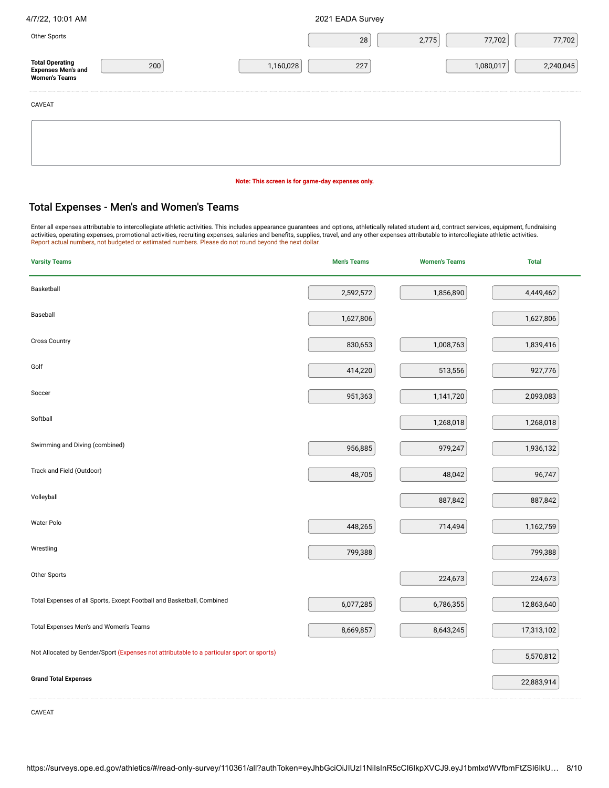|  |  | 4/7/22, 10:01 AM |
|--|--|------------------|
|  |  |                  |

2021 EADA Survey

| Other Sports                                           |     |           | 28  | 2,775 | 77,702    | 77,702    |
|--------------------------------------------------------|-----|-----------|-----|-------|-----------|-----------|
| Total Operating<br>Expenses Men's and<br>Women's Teams | 200 | 1,160,028 | 227 |       | 1,080,017 | 2,240,045 |
| CAVEAT                                                 |     |           |     |       |           |           |
|                                                        |     |           |     |       |           |           |
|                                                        |     |           |     |       |           |           |

### **Note: This screen is for game-day expenses only.**

### Total Expenses - Men's and Women's Teams

Enter all expenses attributable to intercollegiate athletic activities. This includes appearance guarantees and options, athletically related student aid, contract services, equipment, fundraising<br>activities, operating exp

| <b>Varsity Teams</b>                                                                      | <b>Men's Teams</b> | <b>Women's Teams</b> | <b>Total</b> |
|-------------------------------------------------------------------------------------------|--------------------|----------------------|--------------|
| Basketball                                                                                | 2,592,572          | 1,856,890            | 4,449,462    |
| Baseball                                                                                  | 1,627,806          |                      | 1,627,806    |
| <b>Cross Country</b>                                                                      | 830,653            | 1,008,763            | 1,839,416    |
| Golf                                                                                      | 414,220            | 513,556              | 927,776      |
| Soccer                                                                                    | 951,363            | 1,141,720            | 2,093,083    |
| Softball                                                                                  |                    | 1,268,018            | 1,268,018    |
| Swimming and Diving (combined)                                                            | 956,885            | 979,247              | 1,936,132    |
| Track and Field (Outdoor)                                                                 | 48,705             | 48,042               | 96,747       |
| Volleyball                                                                                |                    | 887,842              | 887,842      |
| Water Polo                                                                                | 448,265            | 714,494              | 1,162,759    |
| Wrestling                                                                                 | 799,388            |                      | 799,388      |
| Other Sports                                                                              |                    | 224,673              | 224,673      |
| Total Expenses of all Sports, Except Football and Basketball, Combined                    | 6,077,285          | 6,786,355            | 12,863,640   |
| Total Expenses Men's and Women's Teams                                                    | 8,669,857          | 8,643,245            | 17,313,102   |
| Not Allocated by Gender/Sport (Expenses not attributable to a particular sport or sports) |                    |                      | 5,570,812    |
| <b>Grand Total Expenses</b>                                                               |                    |                      | 22,883,914   |
|                                                                                           |                    |                      |              |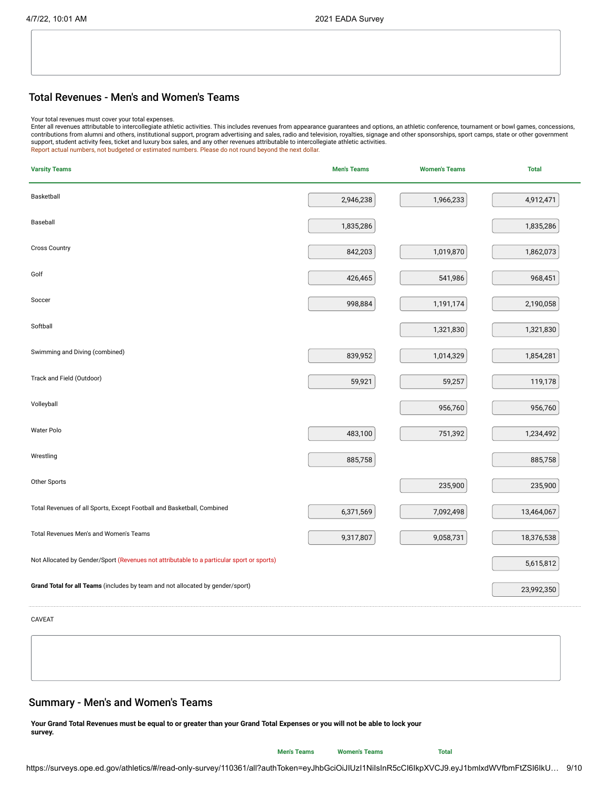### Total Revenues - Men's and Women's Teams

Your total revenues must cover your total expenses.<br>Enter all revenues attributable to intercollegiate athletic activities. This includes revenues from appearance guarantees and options, an athletic conference, tournament support, student activity fees, ticket and luxury box sales, and any other revenues attributable to intercollegiate athletic activities.<br>Report actual numbers, not budgeted or estimated numbers. Please do not round beyond

| <b>Varsity Teams</b>                                                                      | <b>Men's Teams</b> | <b>Women's Teams</b> | <b>Total</b> |
|-------------------------------------------------------------------------------------------|--------------------|----------------------|--------------|
| Basketball                                                                                | 2,946,238          | 1,966,233            | 4,912,471    |
| Baseball                                                                                  | 1,835,286          |                      | 1,835,286    |
| <b>Cross Country</b>                                                                      | 842,203            | 1,019,870            | 1,862,073    |
| Golf                                                                                      | 426,465            | 541,986              | 968,451      |
| Soccer                                                                                    | 998,884            | 1,191,174            | 2,190,058    |
| Softball                                                                                  |                    | 1,321,830            | 1,321,830    |
| Swimming and Diving (combined)                                                            | 839,952            | 1,014,329            | 1,854,281    |
| Track and Field (Outdoor)                                                                 | 59,921             | 59,257               | 119,178      |
| Volleyball                                                                                |                    | 956,760              | 956,760      |
| Water Polo                                                                                | 483,100            | 751,392              | 1,234,492    |
| Wrestling                                                                                 | 885,758            |                      | 885,758      |
| Other Sports                                                                              |                    | 235,900              | 235,900      |
| Total Revenues of all Sports, Except Football and Basketball, Combined                    | 6,371,569          | 7,092,498            | 13,464,067   |
| Total Revenues Men's and Women's Teams                                                    | 9,317,807          | 9,058,731            | 18,376,538   |
| Not Allocated by Gender/Sport (Revenues not attributable to a particular sport or sports) |                    |                      | 5,615,812    |
| Grand Total for all Teams (includes by team and not allocated by gender/sport)            |                    |                      | 23,992,350   |
|                                                                                           |                    |                      |              |

CAVEAT

## Summary - Men's and Women's Teams

**Your Grand Total Revenues must be equal to or greater than your Grand Total Expenses or you will not be able to lock your survey.**